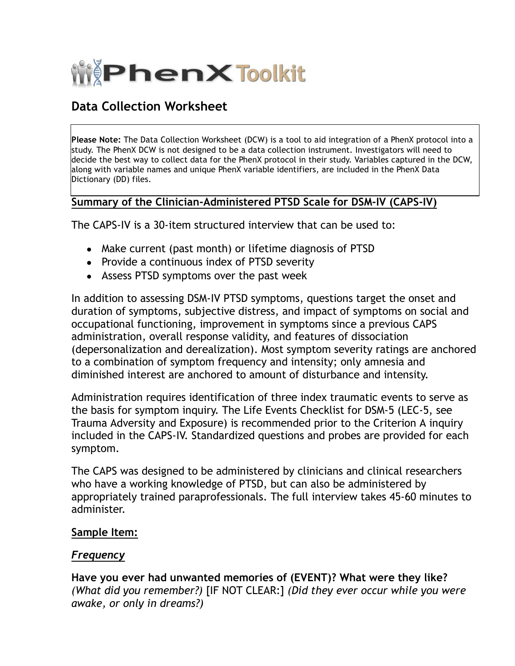

# **Data Collection Worksheet**

**Please Note:** The Data Collection Worksheet (DCW) is a tool to aid integration of a PhenX protocol into a study. The PhenX DCW is not designed to be a data collection instrument. Investigators will need to decide the best way to collect data for the PhenX protocol in their study. Variables captured in the DCW, along with variable names and unique PhenX variable identifiers, are included in the PhenX Data Dictionary (DD) files.

### **Summary of the Clinician-Administered PTSD Scale for DSM-IV (CAPS-IV)**

The CAPS-IV is a 30-item structured interview that can be used to:

- · Make current (past month) or lifetime diagnosis of PTSD
- · Provide a continuous index of PTSD severity
- · Assess PTSD symptoms over the past week

In addition to assessing DSM-IV PTSD symptoms, questions target the onset and duration of symptoms, subjective distress, and impact of symptoms on social and occupational functioning, improvement in symptoms since a previous CAPS administration, overall response validity, and features of dissociation (depersonalization and derealization). Most symptom severity ratings are anchored to a combination of symptom frequency and intensity; only amnesia and diminished interest are anchored to amount of disturbance and intensity.

Administration requires identification of three index traumatic events to serve as the basis for symptom inquiry. The Life Events Checklist for DSM-5 (LEC-5, see Trauma Adversity and Exposure) is recommended prior to the Criterion A inquiry included in the CAPS-IV. Standardized questions and probes are provided for each symptom.

The CAPS was designed to be administered by clinicians and clinical researchers who have a working knowledge of PTSD, but can also be administered by appropriately trained paraprofessionals. The full interview takes 45-60 minutes to administer.

#### **Sample Item:**

#### *Frequency*

**Have you ever had unwanted memories of (EVENT)? What were they like?** *(What did you remember?)* [IF NOT CLEAR:] *(Did they ever occur while you were awake, or only in dreams?)*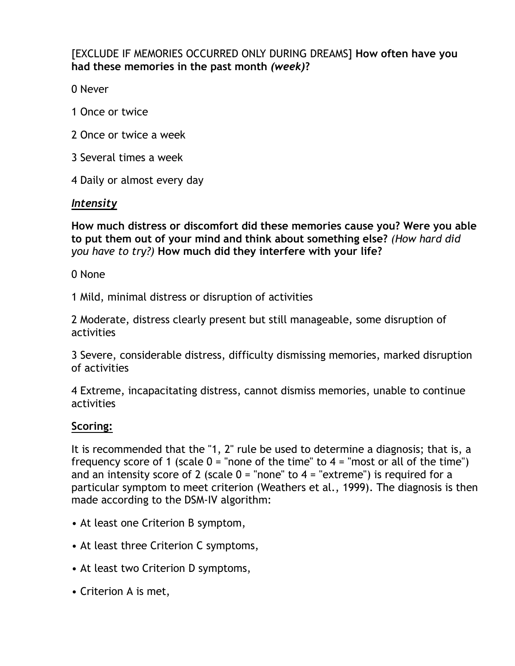[EXCLUDE IF MEMORIES OCCURRED ONLY DURING DREAMS] **How often have you had these memories in the past month** *(week)***?**

0 Never

- 1 Once or twice
- 2 Once or twice a week
- 3 Several times a week
- 4 Daily or almost every day

## *Intensity*

**How much distress or discomfort did these memories cause you? Were you able to put them out of your mind and think about something else?** *(How hard did you have to try?)* **How much did they interfere with your life?**

0 None

1 Mild, minimal distress or disruption of activities

2 Moderate, distress clearly present but still manageable, some disruption of activities

3 Severe, considerable distress, difficulty dismissing memories, marked disruption of activities

4 Extreme, incapacitating distress, cannot dismiss memories, unable to continue activities

### **Scoring:**

It is recommended that the "1, 2" rule be used to determine a diagnosis; that is, a frequency score of 1 (scale  $0 =$  "none of the time" to  $4 =$  "most or all of the time") and an intensity score of 2 (scale  $0 =$  "none" to  $4 =$  "extreme") is required for a particular symptom to meet criterion (Weathers et al., 1999). The diagnosis is then made according to the DSM-IV algorithm:

- At least one Criterion B symptom,
- At least three Criterion C symptoms,
- At least two Criterion D symptoms,
- Criterion A is met,